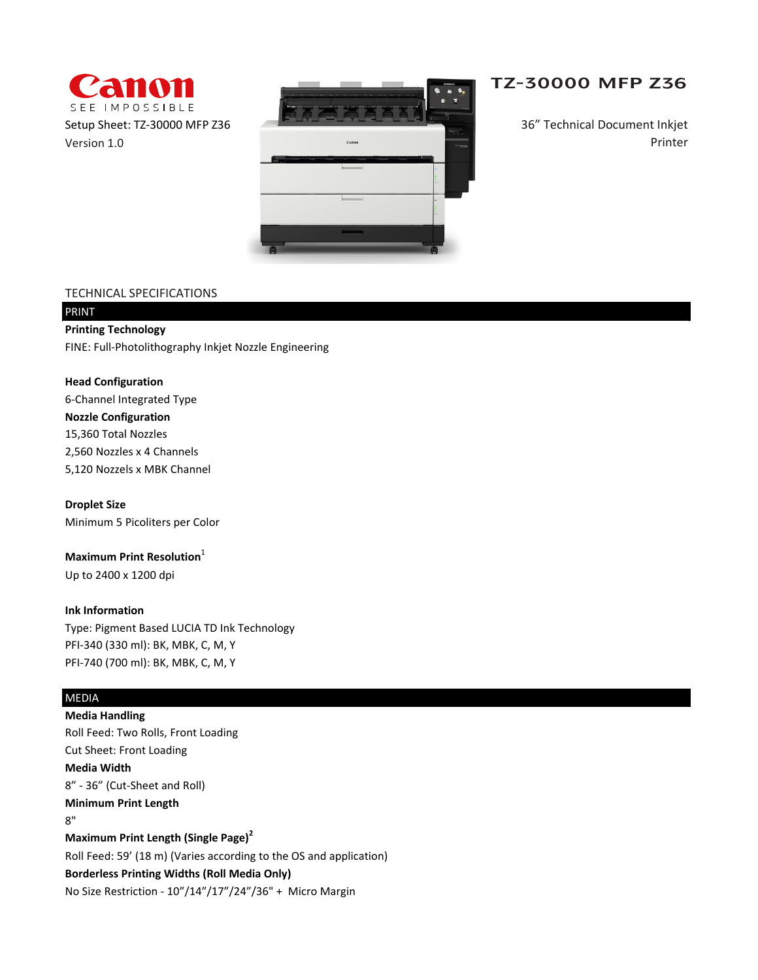



# **TZ-30000 MFP Z36**

36" Technical Document Inkjet Printer

## TECHNICAL SPECIFICATIONS

# PRINT **Printing Technology**

FINE: Full-Photolithography Inkjet Nozzle Engineering

**Head Configuration** 6-Channel Integrated Type **Nozzle Configuration** 2,560 Nozzles x 4 Channels 5,120 Nozzels x MBK Channel 15,360 Total Nozzles

**Droplet Size**

Minimum 5 Picoliters per Color

**Maximum Print Resolution**<sup>1</sup>

Up to 2400 x 1200 dpi

### **Ink Information**

Type: Pigment Based LUCIA TD Ink Technology PFI-340 (330 ml): BK, MBK, C, M, Y PFI-740 (700 ml): BK, MBK, C, M, Y

# MEDIA

**Media Handling** Roll Feed: Two Rolls, Front Loading Cut Sheet: Front Loading **Media Width** 8" - 36" (Cut-Sheet and Roll) **Minimum Print Length** 8" **Maximum Print Length (Single Page)<sup>2</sup>** Roll Feed: 59' (18 m) (Varies according to the OS and application) **Borderless Printing Widths (Roll Media Only)** No Size Restriction - 10"/14"/17"/24"/36" + Micro Margin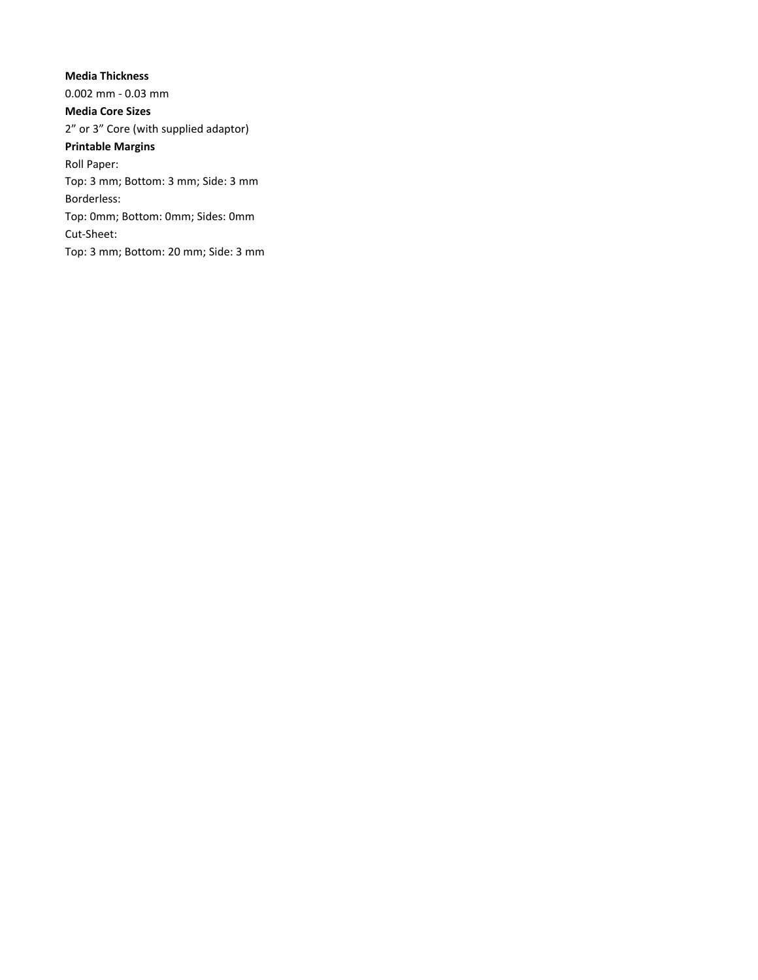**Media Thickness** 0.002 mm - 0.03 mm **Media Core Sizes** 2" or 3" Core (with supplied adaptor) **Printable Margins** Roll Paper: Top: 3 mm; Bottom: 3 mm; Side: 3 mm Borderless: Top: 0mm; Bottom: 0mm; Sides: 0mm Cut-Sheet: Top: 3 mm; Bottom: 20 mm; Side: 3 mm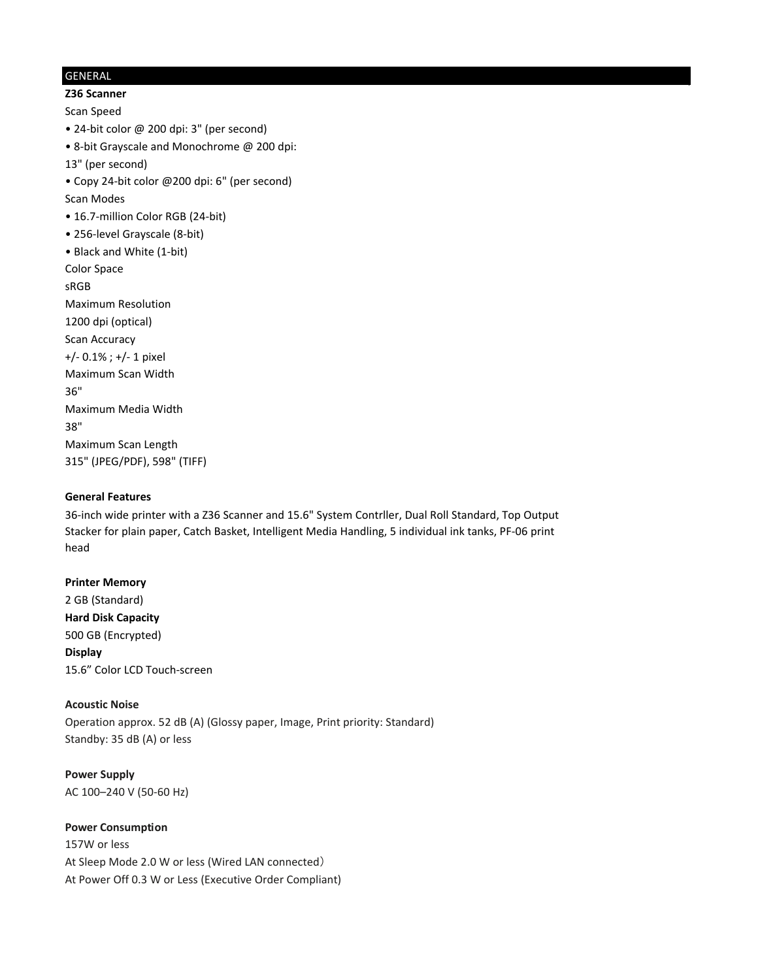## GENERAL

**Z36 Scanner**

Scan Speed

- 24-bit color @ 200 dpi: 3" (per second)
- 8-bit Grayscale and Monochrome @ 200 dpi:
- 13" (per second)
- Copy 24-bit color @200 dpi: 6" (per second)
- Scan Modes
- 16.7-million Color RGB (24-bit)
- 256-level Grayscale (8-bit)
- Black and White (1-bit)
- Color Space

sRGB

Maximum Resolution 1200 dpi (optical) Scan Accuracy +/- 0.1% ; +/- 1 pixel Maximum Scan Width 36" Maximum Media Width

38"

- Maximum Scan Length
- 315" (JPEG/PDF), 598" (TIFF)

### **General Features**

36-inch wide printer with a Z36 Scanner and 15.6" System Contrller, Dual Roll Standard, Top Output Stacker for plain paper, Catch Basket, Intelligent Media Handling, 5 individual ink tanks, PF-06 print head

#### **Printer Memory**

2 GB (Standard) **Hard Disk Capacity** 500 GB (Encrypted) **Display** 15.6" Color LCD Touch-screen

# **Acoustic Noise**

Operation approx. 52 dB (A) (Glossy paper, Image, Print priority: Standard) Standby: 35 dB (A) or less

## **Power Supply** AC 100–240 V (50-60 Hz)

### **Power Consumption**

157W or less At Sleep Mode 2.0 W or less (Wired LAN connected) At Power Off 0.3 W or Less (Executive Order Compliant)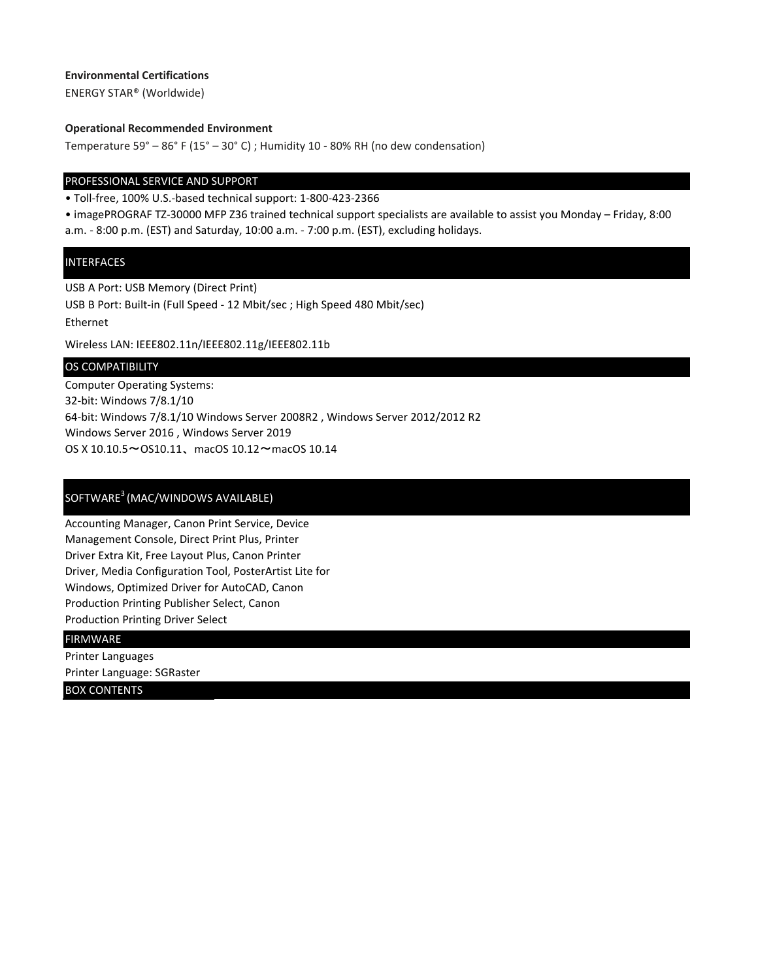### **Environmental Certifications**

ENERGY STAR® (Worldwide)

#### **Operational Recommended Environment**

Temperature 59° – 86° F (15° – 30° C) ; Humidity 10 - 80% RH (no dew condensation)

#### PROFESSIONAL SERVICE AND SUPPORT

• Toll-free, 100% U.S.-based technical support: 1-800-423-2366

• imagePROGRAF TZ-30000 MFP Z36 trained technical support specialists are available to assist you Monday – Friday, 8:00 a.m. - 8:00 p.m. (EST) and Saturday, 10:00 a.m. - 7:00 p.m. (EST), excluding holidays.

#### **INTERFACES**

USB A Port: USB Memory (Direct Print) USB B Port: Built-in (Full Speed - 12 Mbit/sec ; High Speed 480 Mbit/sec) Ethernet Wireless LAN: IEEE802.11n/IEEE802.11g/IEEE802.11b

#### OS COMPATIBILITY

Computer Operating Systems: 32-bit: Windows 7/8.1/10 64-bit: Windows 7/8.1/10 Windows Server 2008R2 , Windows Server 2012/2012 R2 Windows Server 2016 , Windows Server 2019 OS X 10.10.5~OS10.11、macOS 10.12~macOS 10.14

### SOFTWARE<sup>3</sup> (MAC/WINDOWS AVAILABLE)

Accounting Manager, Canon Print Service, Device Management Console, Direct Print Plus, Printer Driver Extra Kit, Free Layout Plus, Canon Printer Driver, Media Configuration Tool, PosterArtist Lite for Windows, Optimized Driver for AutoCAD, Canon Production Printing Publisher Select, Canon Production Printing Driver Select

#### FIRMWARE

Printer Languages

Printer Language: SGRaster

BOX CONTENTS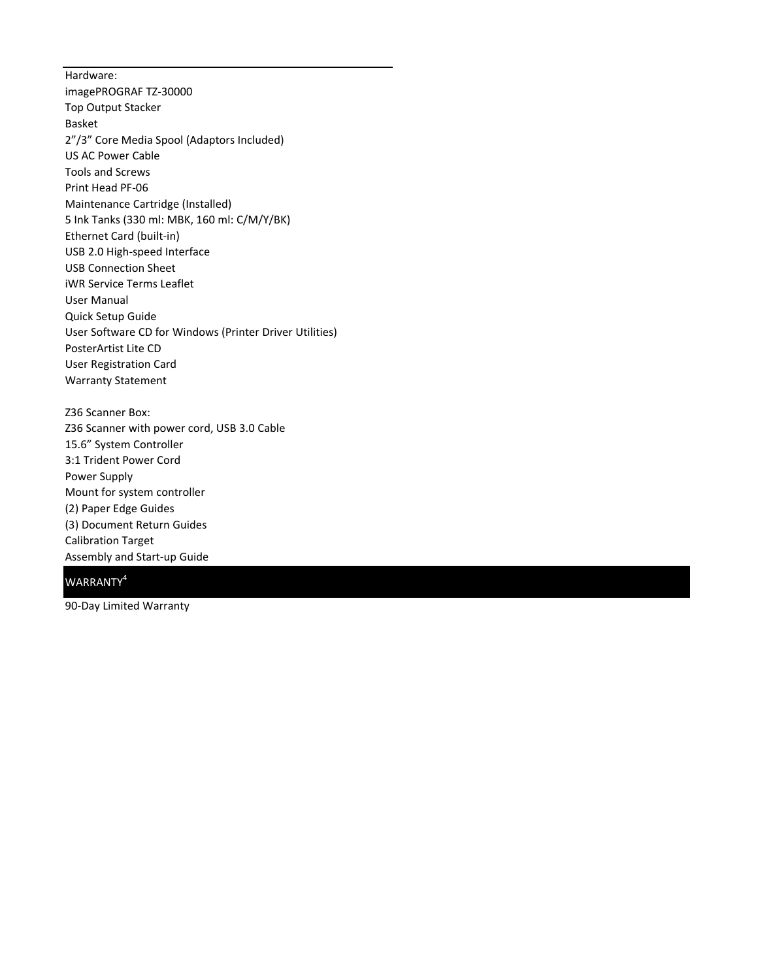Hardware: imagePROGRAF TZ-30000 Top Output Stacker Basket 2"/3" Core Media Spool (Adaptors Included) US AC Power Cable Tools and Screws Print Head PF-06 Maintenance Cartridge (Installed) 5 Ink Tanks (330 ml: MBK, 160 ml: C/M/Y/BK) Ethernet Card (built-in) USB 2.0 High-speed Interface USB Connection Sheet iWR Service Terms Leaflet User Manual Quick Setup Guide User Software CD for Windows (Printer Driver Utilities) PosterArtist Lite CD User Registration Card Warranty Statement

Z36 Scanner Box: Z36 Scanner with power cord, USB 3.0 Cable 15.6" System Controller 3:1 Trident Power Cord Power Supply Mount for system controller (2) Paper Edge Guides (3) Document Return Guides Calibration Target Assembly and Start-up Guide

# WARRANTY<sup>4</sup>

90-Day Limited Warranty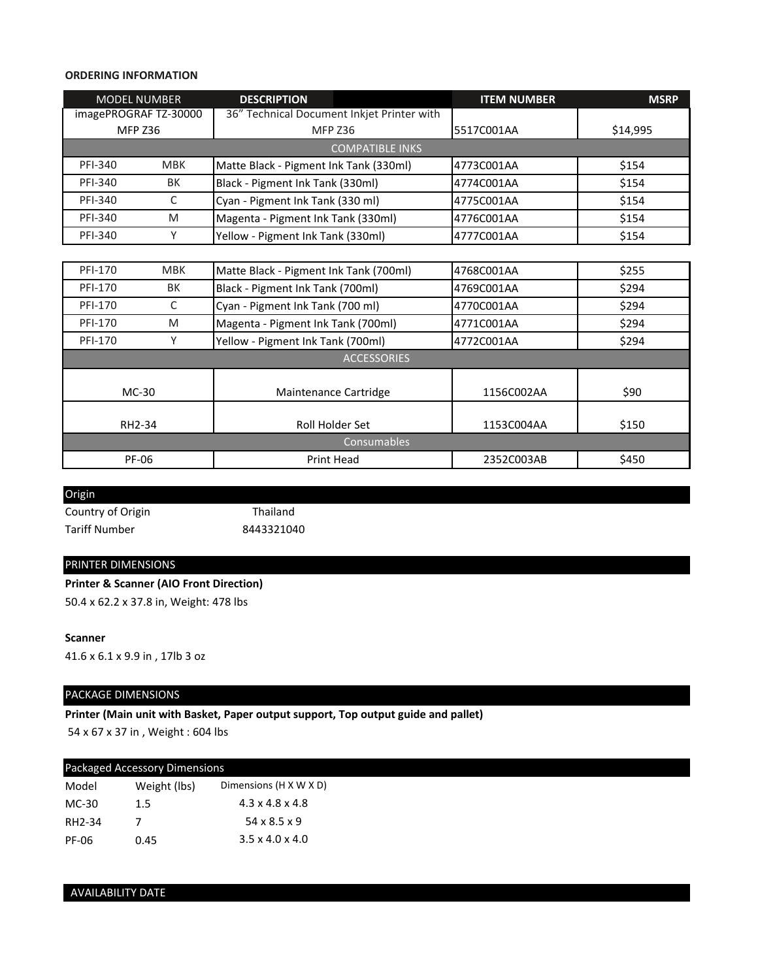#### **ORDERING INFORMATION**

| <b>MODEL NUMBER</b>   |            | <b>DESCRIPTION</b>                         | <b>ITEM NUMBER</b> | <b>MSRP</b> |
|-----------------------|------------|--------------------------------------------|--------------------|-------------|
| imagePROGRAF TZ-30000 |            | 36" Technical Document Inkjet Printer with |                    |             |
| <b>MFP Z36</b>        |            | <b>MFP Z36</b>                             | 5517C001AA         | \$14,995    |
|                       |            | <b>COMPATIBLE INKS</b>                     |                    |             |
| <b>PFI-340</b>        | <b>MBK</b> | Matte Black - Pigment Ink Tank (330ml)     | 4773C001AA         | \$154       |
| <b>PFI-340</b>        | BK         | Black - Pigment Ink Tank (330ml)           | 4774C001AA         | \$154       |
| <b>PFI-340</b>        | C          | Cyan - Pigment Ink Tank (330 ml)           | 4775C001AA         | \$154       |
| PFI-340               | M          | Magenta - Pigment Ink Tank (330ml)         | 4776C001AA         | \$154       |
| <b>PFI-340</b>        | Υ          | Yellow - Pigment Ink Tank (330ml)          | 4777C001AA         | \$154       |
|                       |            |                                            |                    |             |
| PFI-170               | <b>MBK</b> | Matte Black - Pigment Ink Tank (700ml)     | 4768C001AA         | \$255       |
| PFI-170               | BK         | Black - Pigment Ink Tank (700ml)           | 4769C001AA         | \$294       |
| <b>PFI-170</b>        | C          | Cyan - Pigment Ink Tank (700 ml)           | 4770C001AA         | \$294       |
| PFI-170               | M          | Magenta - Pigment Ink Tank (700ml)         | 4771C001AA         | \$294       |
| PFI-170               | Y          | Yellow - Pigment Ink Tank (700ml)          | 4772C001AA         | \$294       |
|                       |            | <b>ACCESSORIES</b>                         |                    |             |
|                       |            |                                            |                    |             |
| MC-30                 |            | Maintenance Cartridge                      | 1156C002AA         | \$90        |
|                       |            |                                            |                    |             |
| RH2-34                |            | Roll Holder Set                            | 1153C004AA         | \$150       |
|                       |            | Consumables                                |                    |             |
| PF-06                 |            | <b>Print Head</b>                          | 2352C003AB         | \$450       |

Origin

Country of Origin Thailand Tariff Number 8443321040

### PRINTER DIMENSIONS

**Printer & Scanner (AIO Front Direction)** 50.4 x 62.2 x 37.8 in, Weight: 478 lbs

#### **Scanner**

41.6 x 6.1 x 9.9 in , 17lb 3 oz

# PACKAGE DIMENSIONS

**Printer (Main unit with Basket, Paper output support, Top output guide and pallet)**

54 x 67 x 37 in , Weight : 604 lbs

| Packaged Accessory Dimensions |                             |
|-------------------------------|-----------------------------|
| Weight (lbs)                  | Dimensions (H X W X D)      |
| 1.5                           | $4.3 \times 4.8 \times 4.8$ |
|                               | $54 \times 8.5 \times 9$    |
| 0.45                          | $3.5 \times 4.0 \times 4.0$ |
|                               |                             |

# AVAILABILITY DATE